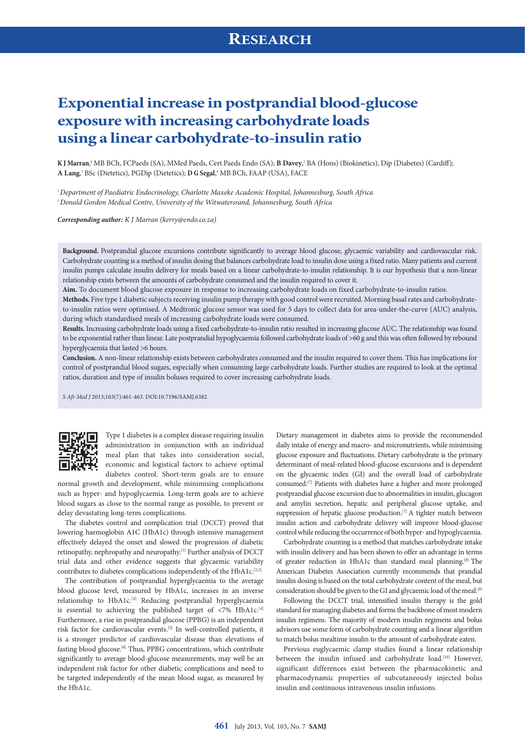# **Exponential increase in postprandial blood-glucose exposure with increasing carbohydrate loads using a linear carbohydrate-to-insulin ratio**

**K J Marran**, **<sup>1</sup>** MB BCh, FCPaeds (SA), MMed Paeds, Cert Paeds Endo (SA); **B Davey**, 2 BA (Hons) (Biokinetics), Dip (Diabetes) (Cardiff); **A Lang**, 2 BSc (Dietetics), PGDip (Dietetics); **D G Segal**, **1** MB BCh, FAAP (USA), FACE

1 *Department of Paediatric Endocrinology, Charlotte Maxeke Academic Hospital, Johannesburg, South Africa* 2 *Donald Gordon Medical Centre, University of the Witwatersrand, Johannesburg, South Africa*

*Corresponding author: K J Marran [\(kerry@endo.co.za\)](mailto:kerry@endo.co.za)*

**Background.** Postprandial glucose excursions contribute significantly to average blood glucose, glycaemic variability and cardiovascular risk. Carbohydrate counting is a method of insulin dosing that balances carbohydrate load to insulin dose using a fixed ratio. Many patients and current insulin pumps calculate insulin delivery for meals based on a linear carbohydrate-to-insulin relationship. It is our hypothesis that a non-linear relationship exists between the amounts of carbohydrate consumed and the insulin required to cover it.

**Aim.** To document blood glucose exposure in response to increasing carbohydrate loads on fixed carbohydrate-to-insulin ratios.

**Methods.** Five type 1 diabetic subjects receiving insulin pump therapy with good control were recruited. Morning basal rates and carbohydrateto-insulin ratios were optimised. A Medtronic glucose sensor was used for 5 days to collect data for area-under-the-curve (AUC) analysis, during which standardised meals of increasing carbohydrate loads were consumed.

**Results.** Increasing carbohydrate loads using a fixed carbohydrate-to-insulin ratio resulted in increasing glucose AUC. The relationship was found to be exponential rather than linear. Late postprandial hypoglycaemia followed carbohydrate loads of >60 g and this was often followed by rebound hyperglycaemia that lasted >6 hours.

**Conclusion.** A non-linear relationship exists between carbohydrates consumed and the insulin required to cover them. This has implications for control of postprandial blood sugars, especially when consuming large carbohydrate loads. Further studies are required to look at the optimal ratios, duration and type of insulin boluses required to cover increasing carbohydrate loads.

*S Afr Med J* 2013;103(7):461-463. DOI:10.7196/SAMJ.6382



Type 1 diabetes is a complex disease requiring insulin administration in conjunction with an individual meal plan that takes into consideration social, economic and logistical factors to achieve optimal diabetes control. Short-term goals are to ensure

normal growth and development, while minimising complications such as hyper- and hypoglycaemia. Long-term goals are to achieve blood sugars as close to the normal range as possible, to prevent or delay devastating long-term complications.

The diabetes control and complication trial (DCCT) proved that lowering haemoglobin A1C (HbA1c) through intensive management effectively delayed the onset and slowed the progression of diabetic retinopathy, nephropathy and neuropathy.[1] Further analysis of DCCT trial data and other evidence suggests that glycaemic variability contributes to diabetes complications independently of the HbA1c.<sup>[2,3]</sup>

The contribution of postprandial hyperglycaemia to the average blood glucose level, measured by HbA1c, increases in an inverse relationship to HbA1c.<sup>[4]</sup> Reducing postprandial hyperglycaemia is essential to achieving the published target of  $\langle 7\% \rangle$  HbA1c.<sup>[4]</sup> Furthermore, a rise in postprandial glucose (PPBG) is an independent risk factor for cardiovascular events.[5] In well-controlled patients, it is a stronger predictor of cardiovascular disease than elevations of fasting blood glucose.<sup>[6]</sup> Thus, PPBG concentrations, which contribute significantly to average blood-glucose measurements, may well be an independent risk factor for other diabetic complications and need to be targeted independently of the mean blood sugar, as measured by the HbA1c.

Dietary management in diabetes aims to provide the recommended daily intake of energy and macro- and micronutrients, while minimising glucose exposure and fluctuations. Dietary carbohydrate is the primary determinant of meal-related blood-glucose excursions and is dependent on the glycaemic index (GI) and the overall load of carbohydrate consumed.[7] Patients with diabetes have a higher and more prolonged postprandial glucose excursion due to abnormalities in insulin, glucagon and amylin secretion, hepatic and peripheral glucose uptake, and suppression of hepatic glucose production.<sup>[7]</sup> A tighter match between insulin action and carbohydrate delivery will improve blood-glucose control while reducing the occurrence of both hyper- and hypoglycaemia.

Carbohydrate counting is a method that matches carbohydrate intake with insulin delivery and has been shown to offer an advantage in terms of greater reduction in HbA1c than standard meal planning.[8] The American Diabetes Association currently recommends that prandial insulin dosing is based on the total carbohydrate content of the meal, but consideration should be given to the GI and glycaemic load of the meal.<sup>[9]</sup>

Following the DCCT trial, intensified insulin therapy is the gold standard for managing diabetes and forms the backbone of most modern insulin regimens. The majority of modern insulin regimens and bolus advisors use some form of carbohydrate counting and a linear algorithm to match bolus mealtime insulin to the amount of carbohydrate eaten.

Previous euglycaemic clamp studies found a linear relationship between the insulin infused and carbohydrate load.<sup>[10]</sup> However, significant differences exist between the pharmacokinetic and pharmacodynamic properties of subcutaneously injected bolus insulin and continuous intravenous insulin infusions.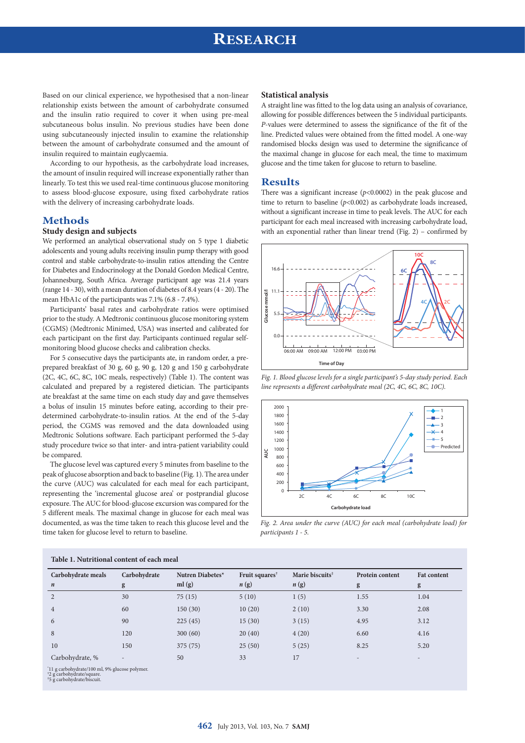# **RESEARCH**

Based on our clinical experience, we hypothesised that a non-linear relationship exists between the amount of carbohydrate consumed and the insulin ratio required to cover it when using pre-meal subcutaneous bolus insulin. No previous studies have been done using subcutaneously injected insulin to examine the relationship between the amount of carbohydrate consumed and the amount of insulin required to maintain euglycaemia.

According to our hypothesis, as the carbohydrate load increases, the amount of insulin required will increase exponentially rather than linearly. To test this we used real-time continuous glucose monitoring to assess blood-glucose exposure, using fixed carbohydrate ratios with the delivery of increasing carbohydrate loads.

## **Methods**

### **Study design and subjects**

We performed an analytical observational study on 5 type 1 diabetic adolescents and young adults receiving insulin pump therapy with good control and stable carbohydrate-to-insulin ratios attending the Centre for Diabetes and Endocrinology at the Donald Gordon Medical Centre, Johannesburg, South Africa. Average participant age was 21.4 years (range 14 - 30), with a mean duration of diabetes of 8.4 years (4 - 20). The mean HbA1c of the participants was 7.1% (6.8 - 7.4%).

Participants' basal rates and carbohydrate ratios were optimised prior to the study. A Medtronic continuous glucose monitoring system (CGMS) (Medtronic Minimed, USA) was inserted and calibrated for each participant on the first day. Participants continued regular selfmonitoring blood glucose checks and calibration checks.

For 5 consecutive days the participants ate, in random order, a preprepared breakfast of 30 g, 60 g, 90 g, 120 g and 150 g carbohydrate (2C, 4C, 6C, 8C, 10C meals, respectively) (Table 1). The content was calculated and prepared by a registered dietician. The participants ate breakfast at the same time on each study day and gave themselves a bolus of insulin 15 minutes before eating, according to their predetermined carbohydrate-to-insulin ratios. At the end of the 5-day period, the CGMS was removed and the data downloaded using Medtronic Solutions software. Each participant performed the 5-day study procedure twice so that inter- and intra-patient variability could be compared.

The glucose level was captured every 5 minutes from baseline to the peak of glucose absorption and back to baseline (Fig. 1). The area under the curve (AUC) was calculated for each meal for each participant, representing the 'incremental glucose area' or postprandial glucose exposure. The AUC for blood-glucose excursion was compared for the 5 different meals. The maximal change in glucose for each meal was documented, as was the time taken to reach this glucose level and the time taken for glucose level to return to baseline.

#### **Statistical analysis**

A straight line was fitted to the log data using an analysis of covariance, allowing for possible differences between the 5 individual participants. *P*-values were determined to assess the significance of the fit of the line. Predicted values were obtained from the fitted model. A one-way randomised blocks design was used to determine the significance of the maximal change in glucose for each meal, the time to maximum glucose and the time taken for glucose to return to baseline.

#### **Results**

There was a significant increase (*p*<0.0002) in the peak glucose and time to return to baseline (*p*<0.002) as carbohydrate loads increased, without a significant increase in time to peak levels. The AUC for each participant for each meal increased with increasing carbohydrate load, with an exponential rather than linear trend (Fig. 2) – confirmed by  $\overline{G}$ 



*Fig. 1. Blood glucose levels for a single participant's 5-day study period. Each line represents a different carbohydrate meal (2C, 4C, 6C, 8C, 10C).*



600 *participants 1 - 5.*

| Carbohydrate meals                                                                                                   | Carbohydrate   | Nutren Diabetes* | Fruit squares <sup>†</sup> | Marie biscuits <sup>#</sup> | Protein content | <b>Fat content</b> |
|----------------------------------------------------------------------------------------------------------------------|----------------|------------------|----------------------------|-----------------------------|-----------------|--------------------|
| $\boldsymbol{n}$                                                                                                     | g              | ml(g)            | n(g)                       | n(g)                        | g               | g                  |
| $\overline{2}$                                                                                                       | 30             | 75(15)           | 5(10)                      | 1(5)                        | 1.55            | 1.04               |
| $\overline{4}$                                                                                                       | 60             | 150(30)          | 10(20)                     | 2(10)                       | 3.30            | 2.08               |
| 6                                                                                                                    | 90             | 225(45)          | 15(30)                     | 3(15)                       | 4.95            | 3.12               |
| 8                                                                                                                    | 120            | 300(60)          | 20(40)                     | 4(20)                       | 6.60            | 4.16               |
| 10                                                                                                                   | 150            | 375 (75)         | 25(50)                     | 5(25)                       | 8.25            | 5.20               |
| Carbohydrate, %                                                                                                      | $\overline{a}$ | 50               | 33                         | 17                          |                 |                    |
| '11 g carbohydrate/100 ml, 9% glucose polymer.<br><sup>+2</sup> g carbohydrate/square.<br>*5 g carbohydrate/biscuit. |                |                  |                            |                             |                 |                    |

#### **Table 1. Nutritional content of each meal**